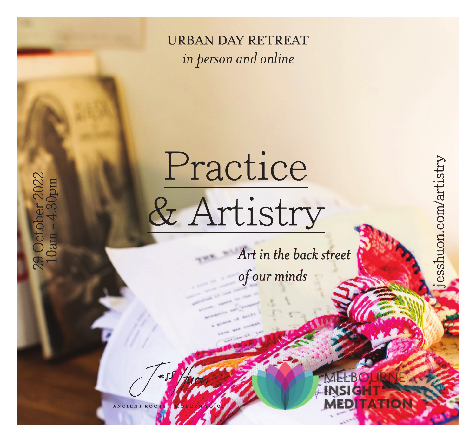

*in person and online*

Practice

& Artistry

*Art in the back street* 

jesshuon.com/artistry

sshuon.com/artistry

*of our minds*

29 October 2022 10am - 4.30pm

2022